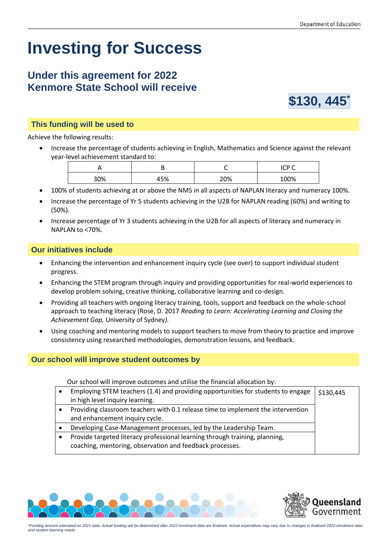# **Investing for Success**

# **Under this agreement for 2022 Kenmore State School will receive**



#### **This funding will be used to**

Achieve the following results:

• Increase the percentage of students achieving in English, Mathematics and Science against the relevant year-level achievement standard to:

|     |     |     | $\sim$<br>$\sim$<br>∼ |
|-----|-----|-----|-----------------------|
| 30% | 45% | 20% | 100%                  |

- 100% of students achieving at or above the NMS in all aspects of NAPLAN literacy and numeracy 100%.
- Increase the percentage of Yr 5 students achieving in the U2B for NAPLAN reading (60%) and writing to (50%).
- Increase percentage of Yr 3 students achieving in the U2B for all aspects of literacy and numeracy in NAPLAN to <70%.

#### **Our initiatives include**

- Enhancing the intervention and enhancement inquiry cycle (see over) to support individual student progress.
- Enhancing the STEM program through inquiry and providing opportunities for real-world experiences to develop problem solving, creative thinking, collaborative learning and co-design.
- Providing all teachers with ongoing literacy training, tools, support and feedback on the whole-school approach to teaching literacy (Rose, D. 2017 *Reading to Learn: Accelerating Learning and Closing the Achievement Gap,* University of Sydney*).*
- Using coaching and mentoring models to support teachers to move from theory to practice and improve consistency using researched methodologies, demonstration lessons, and feedback.

### **Our school will improve student outcomes by**

Our school will improve outcomes and utilise the financial allocation by:

| Employing STEM teachers (1.4) and providing opportunities for students to engage | \$130,445 |
|----------------------------------------------------------------------------------|-----------|
| in high level inquiry learning.                                                  |           |
| Providing classroom teachers with 0.1 release time to implement the intervention |           |
| and enhancement inquiry cycle.                                                   |           |
| Developing Case-Management processes, led by the Leadership Team.                |           |
| Provide targeted literacy professional learning through training, planning,      |           |
| coaching, mentoring, observation and feedback processes.                         |           |